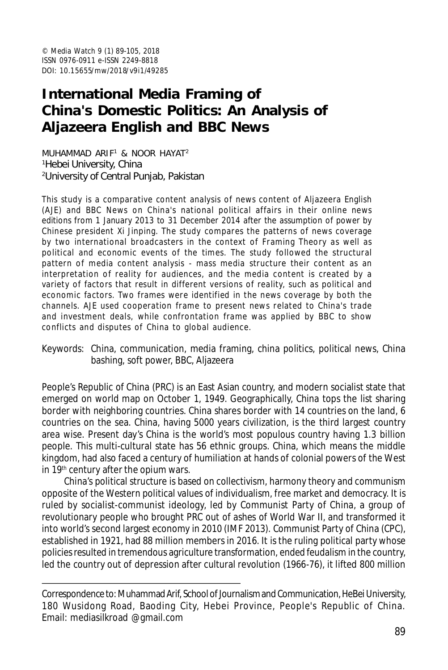© *Media Watch* 9 (1) 89-105, 2018 ISSN 0976-0911 e-ISSN 2249-8818 DOI: 10.15655/mw/2018/v9i1/49285

# **International Media Framing of China's Domestic Politics: An Analysis of Aljazeera English and BBC News**

MUHAMMAD ARIF<sup>1</sup> & NOOR HAYAT 2 <sup>1</sup>Hebei University, China <sup>2</sup>University of Central Punjab, Pakistan

This study is a comparative content analysis of news content of Aljazeera English (AJE) and BBC News on China's national political affairs in their online news editions from 1 January 2013 to 31 December 2014 after the assumption of power by Chinese president Xi Jinping. The study compares the patterns of news coverage by two international broadcasters in the context of Framing Theory as well as political and economic events of the times. The study followed the structural pattern of media content analysis - mass media structure their content as an interpretation of reality for audiences, and the media content is created by a variety of factors that result in different versions of reality, such as political and economic factors. Two frames were identified in the news coverage by both the channels. AJE used cooperation frame to present news related to China's trade and investment deals, while confrontation frame was applied by BBC to show conflicts and disputes of China to global audience.

Keywords: China, communication, media framing, china politics, political news, China bashing, soft power, BBC, Aljazeera

People's Republic of China (PRC) is an East Asian country, and modern socialist state that emerged on world map on October 1, 1949. Geographically, China tops the list sharing border with neighboring countries. China shares border with 14 countries on the land, 6 countries on the sea. China, having 5000 years civilization, is the third largest country area wise. Present day's China is the world's most populous country having 1.3 billion people. This multi-cultural state has 56 ethnic groups. China, which means the middle kingdom, had also faced a century of humiliation at hands of colonial powers of the West in 19<sup>th</sup> century after the opium wars.

China's political structure is based on collectivism, harmony theory and communism opposite of the Western political values of individualism, free market and democracy. It is ruled by socialist-communist ideology, led by Communist Party of China, a group of revolutionary people who brought PRC out of ashes of World War II, and transformed it into world's second largest economy in 2010 (IMF 2013). Communist Party of China (CPC), established in 1921, had 88 million members in 2016. It is the ruling political party whose policies resulted in tremendous agriculture transformation, ended feudalism in the country, led the country out of depression after cultural revolution (1966-76), it lifted 800 million

Correspondence to: Muhammad Arif, School of Journalism and Communication, HeBei University, 180 Wusidong Road, Baoding City, Hebei Province, People's Republic of China. Email: mediasilkroad @gmail.com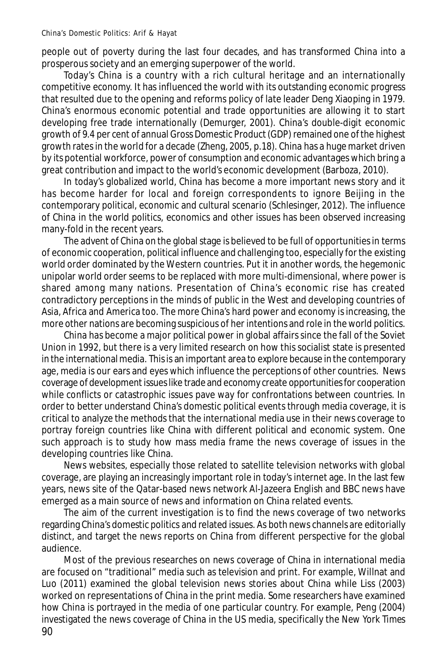people out of poverty during the last four decades, and has transformed China into a prosperous society and an emerging superpower of the world.

Today's China is a country with a rich cultural heritage and an internationally competitive economy. It has influenced the world with its outstanding economic progress that resulted due to the opening and reforms policy of late leader Deng Xiaoping in 1979. China's enormous economic potential and trade opportunities are allowing it to start developing free trade internationally (Demurger, 2001). China's double-digit economic growth of 9.4 per cent of annual Gross Domestic Product (GDP) remained one of the highest growth rates in the world for a decade (Zheng, 2005, p.18). China has a huge market driven by its potential workforce, power of consumption and economic advantages which bring a great contribution and impact to the world's economic development (Barboza, 2010).

In today's globalized world, China has become a more important news story and it has become harder for local and foreign correspondents to ignore Beijing in the contemporary political, economic and cultural scenario (Schlesinger, 2012). The influence of China in the world politics, economics and other issues has been observed increasing many-fold in the recent years.

The advent of China on the global stage is believed to be full of opportunities in terms of economic cooperation, political influence and challenging too, especially for the existing world order dominated by the Western countries. Put it in another words, the hegemonic unipolar world order seems to be replaced with more multi-dimensional, where power is shared among many nations. Presentation of China's economic rise has created contradictory perceptions in the minds of public in the West and developing countries of Asia, Africa and America too. The more China's hard power and economy is increasing, the more other nations are becoming suspicious of her intentions and role in the world politics.

China has become a major political power in global affairs since the fall of the Soviet Union in 1992, but there is a very limited research on how this socialist state is presented in the international media. This is an important area to explore because in the contemporary age, media is our ears and eyes which influence the perceptions of other countries. News coverage of development issues like trade and economy create opportunities for cooperation while conflicts or catastrophic issues pave way for confrontations between countries. In order to better understand China's domestic political events through media coverage, it is critical to analyze the methods that the international media use in their news coverage to portray foreign countries like China with different political and economic system. One such approach is to study how mass media frame the news coverage of issues in the developing countries like China.

News websites, especially those related to satellite television networks with global coverage, are playing an increasingly important role in today's internet age. In the last few years, news site of the Qatar-based news network Al-Jazeera English and BBC news have emerged as a main source of news and information on China related events.

The aim of the current investigation is to find the news coverage of two networks regarding China's domestic politics and related issues. As both news channels are editorially distinct, and target the news reports on China from different perspective for the global audience.

90 Most of the previous researches on news coverage of China in international media are focused on "traditional" media such as television and print. For example, Willnat and Luo (2011) examined the global television news stories about China while Liss (2003) worked on representations of China in the print media. Some researchers have examined how China is portrayed in the media of one particular country. For example, Peng (2004) investigated the news coverage of China in the US media, specifically the *New York Times*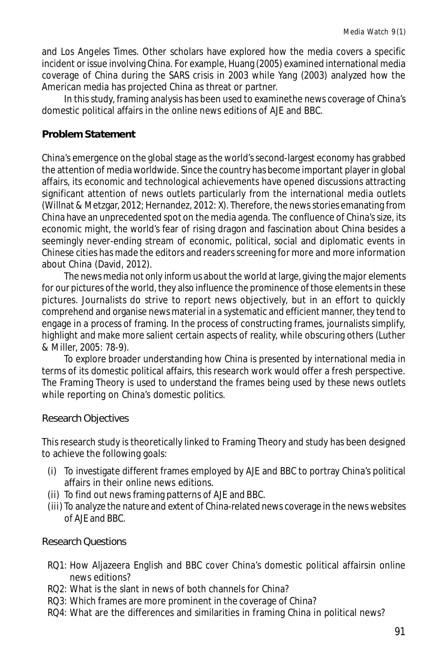and *Los Angeles Times*. Other scholars have explored how the media covers a specific incident or issue involving China. For example, Huang (2005) examined international media coverage of China during the SARS crisis in 2003 while Yang (2003) analyzed how the American media has projected China as threat or partner.

In this study, framing analysis has been used to examinethe news coverage of China's domestic political affairs in the online news editions of AJE and BBC.

## **Problem Statement**

China's emergence on the global stage as the world's second-largest economy has grabbed the attention of media worldwide. Since the country has become important player in global affairs, its economic and technological achievements have opened discussions attracting significant attention of news outlets particularly from the international media outlets (Willnat & Metzgar, 2012; Hernandez, 2012: X). Therefore, the news stories emanating from China have an unprecedented spot on the media agenda. The confluence of China's size, its economic might, the world's fear of rising dragon and fascination about China besides a seemingly never-ending stream of economic, political, social and diplomatic events in Chinese cities has made the editors and readers screening for more and more information about China (David, 2012).

The news media not only inform us about the world at large, giving the major elements for our pictures of the world, they also influence the prominence of those elements in these pictures. Journalists do strive to report news objectively, but in an effort to quickly comprehend and organise news material in a systematic and efficient manner, they tend to engage in a process of framing. In the process of constructing frames, journalists simplify, highlight and make more salient certain aspects of reality, while obscuring others (Luther & Miller, 2005: 78-9).

To explore broader understanding how China is presented by international media in terms of its domestic political affairs, this research work would offer a fresh perspective. The Framing Theory is used to understand the frames being used by these news outlets while reporting on China's domestic politics.

## Research Objectives

This research study is theoretically linked to Framing Theory and study has been designed to achieve the following goals:

- (i) To investigate different frames employed by AJE and BBC to portray China's political affairs in their online news editions.
- (ii) To find out news framing patterns of AJE and BBC.
- (iii) To analyze the nature and extent of China-related news coverage in the news websites of AJE and BBC.

## Research Questions

- RQ1: How Aljazeera English and BBC cover China's domestic political affairsin online news editions?
- RQ2: What is the slant in news of both channels for China?
- RQ3: Which frames are more prominent in the coverage of China?
- RQ4: What are the differences and similarities in framing China in political news?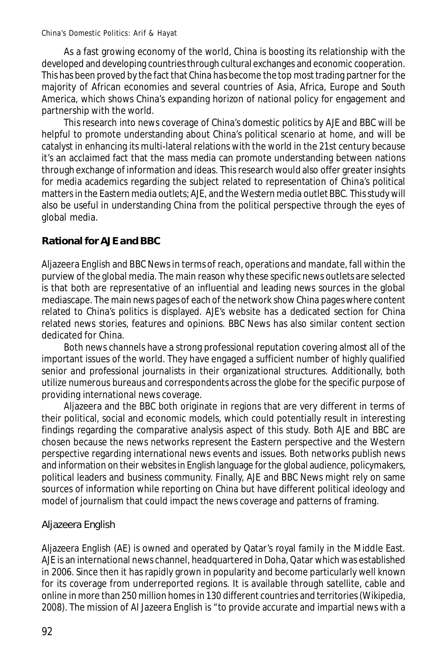As a fast growing economy of the world, China is boosting its relationship with the developed and developing countries through cultural exchanges and economic cooperation. This has been proved by the fact that China has become the top most trading partner for the majority of African economies and several countries of Asia, Africa, Europe and South America, which shows China's expanding horizon of national policy for engagement and partnership with the world.

This research into news coverage of China's domestic politics by AJE and BBC will be helpful to promote understanding about China's political scenario at home, and will be catalyst in enhancing its multi-lateral relations with the world in the 21st century because it's an acclaimed fact that the mass media can promote understanding between nations through exchange of information and ideas. This research would also offer greater insights for media academics regarding the subject related to representation of China's political matters in the Eastern media outlets; AJE, and the Western media outlet BBC. This study will also be useful in understanding China from the political perspective through the eyes of global media.

## **Rational for AJE and BBC**

Aljazeera English and BBC News in terms of reach, operations and mandate, fall within the purview of the global media. The main reason why these specific news outlets are selected is that both are representative of an influential and leading news sources in the global mediascape. The main news pages of each of the network show China pages where content related to China's politics is displayed. AJE's website has a dedicated section for China related news stories, features and opinions. BBC News has also similar content section dedicated for China.

Both news channels have a strong professional reputation covering almost all of the important issues of the world. They have engaged a sufficient number of highly qualified senior and professional journalists in their organizational structures. Additionally, both utilize numerous bureaus and correspondents across the globe for the specific purpose of providing international news coverage.

Aljazeera and the BBC both originate in regions that are very different in terms of their political, social and economic models, which could potentially result in interesting findings regarding the comparative analysis aspect of this study. Both AJE and BBC are chosen because the news networks represent the Eastern perspective and the Western perspective regarding international news events and issues. Both networks publish news and information on their websites in English language for the global audience, policymakers, political leaders and business community. Finally, AJE and BBC News might rely on same sources of information while reporting on China but have different political ideology and model of journalism that could impact the news coverage and patterns of framing.

# Aljazeera English

Aljazeera English (AE) is owned and operated by Qatar's royal family in the Middle East. AJE is an international news channel, headquartered in Doha, Qatar which was established in 2006. Since then it has rapidly grown in popularity and become particularly well known for its coverage from underreported regions. It is available through satellite, cable and online in more than 250 million homes in 130 different countries and territories (Wikipedia, 2008). The mission of Al Jazeera English is "to provide accurate and impartial news with a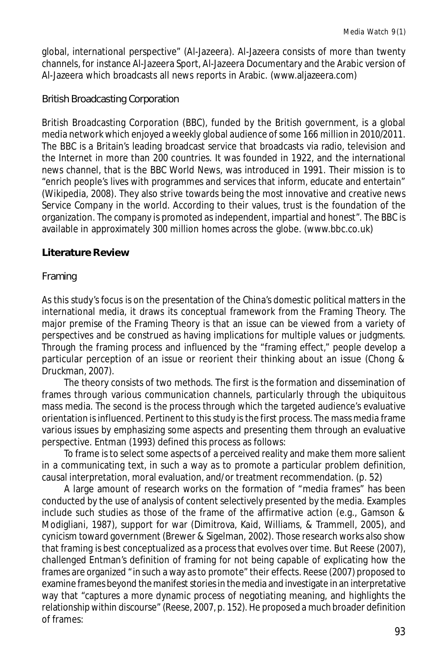global, international perspective" (Al-Jazeera). Al-Jazeera consists of more than twenty channels, for instance Al-Jazeera Sport, Al-Jazeera Documentary and the Arabic version of Al-Jazeera which broadcasts all news reports in Arabic. (www.aljazeera.com)

British Broadcasting Corporation

British Broadcasting Corporation (BBC), funded by the British government, is a global media network which enjoyed a weekly global audience of some 166 million in 2010/2011. The BBC is a Britain's leading broadcast service that broadcasts via radio, television and the Internet in more than 200 countries. It was founded in 1922, and the international news channel, that is the BBC World News, was introduced in 1991. Their mission is to "enrich people's lives with programmes and services that inform, educate and entertain" (Wikipedia, 2008). They also strive towards being the most innovative and creative news Service Company in the world. According to their values, trust is the foundation of the organization. The company is promoted as independent, impartial and honest". The BBC is available in approximately 300 million homes across the globe. (www.bbc.co.uk)

## **Literature Review**

#### Framing

As this study's focus is on the presentation of the China's domestic political matters in the international media, it draws its conceptual framework from the Framing Theory. The major premise of the Framing Theory is that an issue can be viewed from a variety of perspectives and be construed as having implications for multiple values or judgments. Through the framing process and influenced by the "framing effect," people develop a particular perception of an issue or reorient their thinking about an issue (Chong & Druckman, 2007).

The theory consists of two methods. The first is the formation and dissemination of frames through various communication channels, particularly through the ubiquitous mass media. The second is the process through which the targeted audience's evaluative orientation is influenced. Pertinent to this study is the first process. The mass media frame various issues by emphasizing some aspects and presenting them through an evaluative perspective. Entman (1993) defined this process as follows:

To frame is to select some aspects of a perceived reality and make them more salient in a communicating text, in such a way as to promote a particular problem definition, causal interpretation, moral evaluation, and/or treatment recommendation. (p. 52)

A large amount of research works on the formation of "media frames" has been conducted by the use of analysis of content selectively presented by the media. Examples include such studies as those of the frame of the affirmative action (e.g., Gamson & Modigliani, 1987), support for war (Dimitrova, Kaid, Williams, & Trammell, 2005), and cynicism toward government (Brewer & Sigelman, 2002). Those research works also show that framing is best conceptualized as a process that evolves over time. But Reese (2007), challenged Entman's definition of framing for not being capable of explicating how the frames are organized "in such a way as to promote" their effects. Reese (2007) proposed to examine frames beyond the manifest stories in the media and investigate in an interpretative way that "captures a more dynamic process of negotiating meaning, and highlights the relationship within discourse" (Reese, 2007, p. 152). He proposed a much broader definition of frames: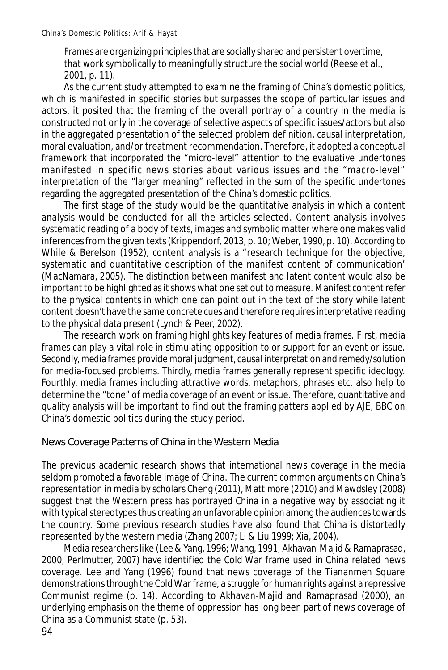Frames are organizing principles that are socially shared and persistent overtime, that work symbolically to meaningfully structure the social world (Reese et al., 2001, p. 11).

As the current study attempted to examine the framing of China's domestic politics, which is manifested in specific stories but surpasses the scope of particular issues and actors, it posited that the framing of the overall portray of a country in the media is constructed not only in the coverage of selective aspects of specific issues/actors but also in the aggregated presentation of the selected problem definition, causal interpretation, moral evaluation, and/or treatment recommendation. Therefore, it adopted a conceptual framework that incorporated the "micro-level" attention to the evaluative undertones manifested in specific news stories about various issues and the "macro-level" interpretation of the "larger meaning" reflected in the sum of the specific undertones regarding the aggregated presentation of the China's domestic politics.

The first stage of the study would be the quantitative analysis in which a content analysis would be conducted for all the articles selected. Content analysis involves systematic reading of a body of texts, images and symbolic matter where one makes valid inferences from the given texts (Krippendorf, 2013, p. 10; Weber, 1990, p. 10). According to While & Berelson (1952), content analysis is a "research technique for the objective, systematic and quantitative description of the manifest content of communication' (MacNamara, 2005). The distinction between manifest and latent content would also be important to be highlighted as it shows what one set out to measure. Manifest content refer to the physical contents in which one can point out in the text of the story while latent content doesn't have the same concrete cues and therefore requires interpretative reading to the physical data present (Lynch & Peer, 2002).

The research work on framing highlights key features of media frames. First, media frames can play a vital role in stimulating opposition to or support for an event or issue. Secondly, media frames provide moral judgment, causal interpretation and remedy/solution for media-focused problems. Thirdly, media frames generally represent specific ideology. Fourthly, media frames including attractive words, metaphors, phrases etc. also help to determine the "tone" of media coverage of an event or issue. Therefore, quantitative and quality analysis will be important to find out the framing patters applied by AJE, BBC on China's domestic politics during the study period.

## News Coverage Patterns of China in the Western Media

The previous academic research shows that international news coverage in the media seldom promoted a favorable image of China. The current common arguments on China's representation in media by scholars Cheng (2011), Mattimore (2010) and Mawdsley (2008) suggest that the Western press has portrayed China in a negative way by associating it with typical stereotypes thus creating an unfavorable opinion among the audiences towards the country. Some previous research studies have also found that China is distortedly represented by the western media (Zhang 2007; Li & Liu 1999; Xia, 2004).

Media researchers like (Lee & Yang, 1996; Wang, 1991; Akhavan-Majid & Ramaprasad, 2000; Perlmutter, 2007) have identified the Cold War frame used in China related news coverage. Lee and Yang (1996) found that news coverage of the Tiananmen Square demonstrations through the Cold War frame, a struggle for human rights against a repressive Communist regime (p. 14). According to Akhavan-Majid and Ramaprasad (2000), an underlying emphasis on the theme of oppression has long been part of news coverage of China as a Communist state (p. 53).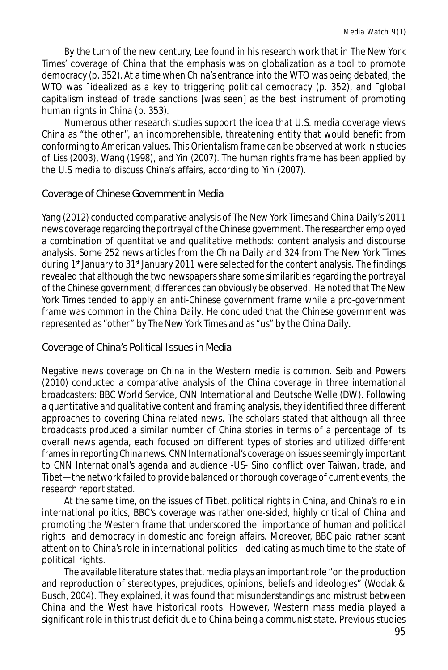By the turn of the new century, Lee found in his research work that in *The New York Times*' coverage of China that the emphasis was on globalization as a tool to promote democracy (p. 352). At a time when China's entrance into the WTO was being debated, the WTO was <sup>-</sup>idealized as a key to triggering political democracy (p. 352), and <sup>-</sup>global capitalism instead of trade sanctions [was seen] as the best instrument of promoting human rights in China (p. 353).

Numerous other research studies support the idea that U.S. media coverage views China as "the other", an incomprehensible, threatening entity that would benefit from conforming to American values. This Orientalism frame can be observed at work in studies of Liss (2003), Wang (1998), and Yin (2007). The human rights frame has been applied by the U.S media to discuss China's affairs, according to Yin (2007).

Coverage of Chinese Government in Media

Yang (2012) conducted comparative analysis of *The New York Times* and *China Daily'*s 2011 news coverage regarding the portrayal of the Chinese government. The researcher employed a combination of quantitative and qualitative methods: content analysis and discourse analysis. Some 252 news articles from the *China Daily* and 324 from *The New York Times* during  $1<sup>st</sup>$  January to  $31<sup>st</sup>$  January 2011 were selected for the content analysis. The findings revealed that although the two newspapers share some similarities regarding the portrayal of the Chinese government, differences can obviously be observed. He noted that *The New York Times* tended to apply an anti-Chinese government frame while a pro-government frame was common in the *China Daily*. He concluded that the Chinese government was represented as "other" by *The New York Times* and as "us" by the *China Daily*.

Coverage of China's Political Issues in Media

Negative news coverage on China in the Western media is common. Seib and Powers (2010) conducted a comparative analysis of the China coverage in three international broadcasters: BBC World Service, CNN International and Deutsche Welle (DW). Following a quantitative and qualitative content and framing analysis, they identified three different approaches to covering China-related news. The scholars stated that although all three broadcasts produced a similar number of China stories in terms of a percentage of its overall news agenda, each focused on different types of stories and utilized different frames in reporting China news. CNN International's coverage on issues seemingly important to CNN International's agenda and audience -US- Sino conflict over Taiwan, trade, and Tibet—the network failed to provide balanced or thorough coverage of current events, the research report stated.

At the same time, on the issues of Tibet, political rights in China, and China's role in international politics, BBC's coverage was rather one-sided, highly critical of China and promoting the Western frame that underscored the importance of human and political rights and democracy in domestic and foreign affairs. Moreover, BBC paid rather scant attention to China's role in international politics—dedicating as much time to the state of political rights.

The available literature states that, media plays an important role "on the production and reproduction of stereotypes, prejudices, opinions, beliefs and ideologies" (Wodak & Busch, 2004). They explained, it was found that misunderstandings and mistrust between China and the West have historical roots. However, Western mass media played a significant role in this trust deficit due to China being a communist state. Previous studies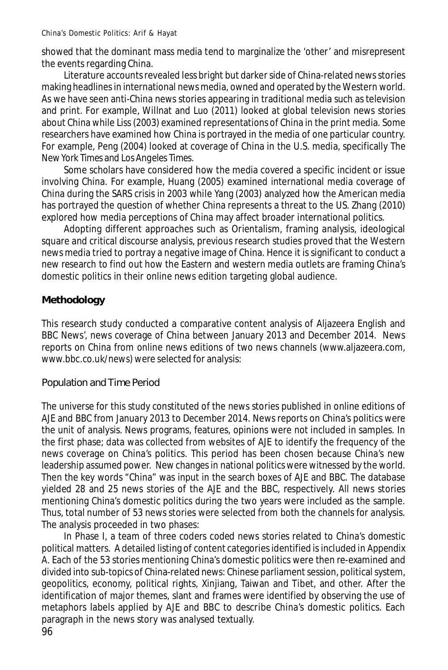showed that the dominant mass media tend to marginalize the 'other' and misrepresent the events regarding China.

Literature accounts revealed less bright but darker side of China-related news stories making headlines in international news media, owned and operated by the Western world. As we have seen anti-China news stories appearing in traditional media such as television and print. For example, Willnat and Luo (2011) looked at global television news stories about China while Liss (2003) examined representations of China in the print media. Some researchers have examined how China is portrayed in the media of one particular country. For example, Peng (2004) looked at coverage of China in the U.S. media, specifically *The New York Times* and *Los Angeles Times*.

Some scholars have considered how the media covered a specific incident or issue involving China. For example, Huang (2005) examined international media coverage of China during the SARS crisis in 2003 while Yang (2003) analyzed how the American media has portrayed the question of whether China represents a threat to the US. Zhang (2010) explored how media perceptions of China may affect broader international politics.

Adopting different approaches such as Orientalism, framing analysis, ideological square and critical discourse analysis, previous research studies proved that the Western news media tried to portray a negative image of China. Hence it is significant to conduct a new research to find out how the Eastern and western media outlets are framing China's domestic politics in their online news edition targeting global audience.

## **Methodology**

This research study conducted a comparative content analysis of Aljazeera English and BBC News', news coverage of China between January 2013 and December 2014. News reports on China from online news editions of two news channels (www.aljazeera.com, www.bbc.co.uk/news) were selected for analysis:

## Population and Time Period

The universe for this study constituted of the news stories published in online editions of AJE and BBC from January 2013 to December 2014. News reports on China's politics were the unit of analysis. News programs, features, opinions were not included in samples. In the first phase; data was collected from websites of AJE to identify the frequency of the news coverage on China's politics. This period has been chosen because China's new leadership assumed power. New changes in national politics were witnessed by the world. Then the key words "China" was input in the search boxes of AJE and BBC. The database yielded 28 and 25 news stories of the AJE and the BBC, respectively. All news stories mentioning China's domestic politics during the two years were included as the sample. Thus, total number of 53 news stories were selected from both the channels for analysis. The analysis proceeded in two phases:

In Phase I, a team of three coders coded news stories related to China's domestic political matters. A detailed listing of content categories identified is included in *Appendix A*. Each of the 53 stories mentioning China's domestic politics were then re-examined and divided into sub-topics of China-related news: Chinese parliament session, political system, geopolitics, economy, political rights, Xinjiang, Taiwan and Tibet, and other. After the identification of major themes, slant and frames were identified by observing the use of metaphors labels applied by AJE and BBC to describe China's domestic politics. Each paragraph in the news story was analysed textually.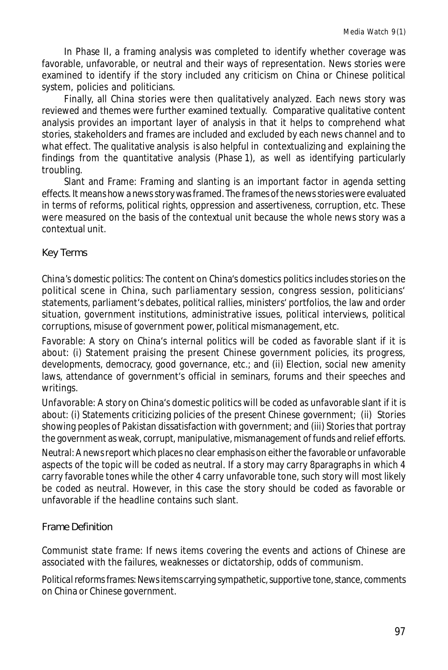In Phase II, a framing analysis was completed to identify whether coverage was favorable, unfavorable, or neutral and their ways of representation. News stories were examined to identify if the story included any criticism on China or Chinese political system, policies and politicians.

Finally, all China stories were then qualitatively analyzed. Each news story was reviewed and themes were further examined textually. Comparative qualitative content analysis provides an important layer of analysis in that it helps to comprehend what stories, stakeholders and frames are included and excluded by each news channel and to what effect. The qualitative analysis is also helpful in contextualizing and explaining the findings from the quantitative analysis (Phase 1), as well as identifying particularly troubling.

Slant and Frame: Framing and slanting is an important factor in agenda setting effects. It means how a news story was framed. The frames of the news stories were evaluated in terms of reforms, political rights, oppression and assertiveness, corruption, etc. These were measured on the basis of the contextual unit because the whole news story was a contextual unit.

## Key Terms

*China's domestic politics*: The content on China's domestics politics includes stories on the political scene in China, such parliamentary session, congress session, politicians' statements, parliament's debates, political rallies, ministers' portfolios, the law and order situation, government institutions, administrative issues, political interviews, political corruptions, misuse of government power, political mismanagement, etc.

*Favorable*: A story on China's internal politics will be coded as favorable slant if it is about: (i) Statement praising the present Chinese government policies, its progress, developments, democracy, good governance, etc.; and (ii) Election, social new amenity laws, attendance of government's official in seminars, forums and their speeches and writings.

*Unfavorable*: A story on China's domestic politics will be coded as unfavorable slant if it is about: (i) Statements criticizing policies of the present Chinese government; (ii) Stories showing peoples of Pakistan dissatisfaction with government; and (iii) Stories that portray the government as weak, corrupt, manipulative, mismanagement of funds and relief efforts.

*Neutral*: A news report which places no clear emphasis on either the favorable or unfavorable aspects of the topic will be coded as neutral. If a story may carry 8paragraphs in which 4 carry favorable tones while the other 4 carry unfavorable tone, such story will most likely be coded as neutral. However, in this case the story should be coded as favorable or unfavorable if the headline contains such slant.

## Frame Definition

*Communist state frame*: If news items covering the events and actions of Chinese are associated with the failures, weaknesses or dictatorship, odds of communism.

*Political reforms frames*: News items carrying sympathetic, supportive tone, stance, comments on China or Chinese government.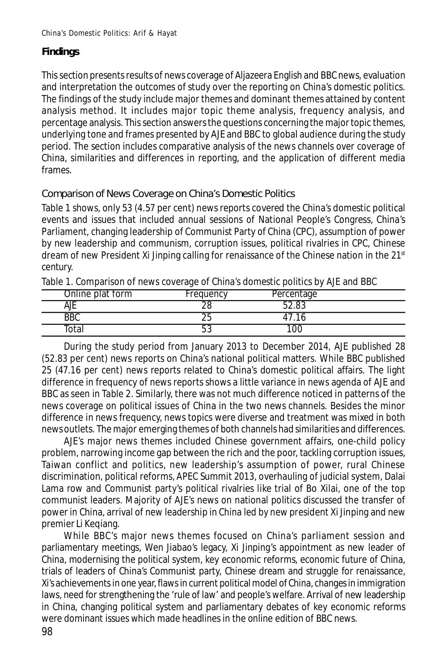## **Findings**

This section presents results of news coverage of Aljazeera English and BBC news, evaluation and interpretation the outcomes of study over the reporting on China's domestic politics. The findings of the study include major themes and dominant themes attained by content analysis method. It includes major topic theme analysis, frequency analysis, and percentage analysis. This section answers the questions concerning the major topic themes, underlying tone and frames presented by AJE and BBC to global audience during the study period. The section includes comparative analysis of the news channels over coverage of China, similarities and differences in reporting, and the application of different media frames.

Comparison of News Coverage on China's Domestic Politics

Table 1 shows, only 53 (4.57 per cent) news reports covered the China's domestic political events and issues that included annual sessions of National People's Congress, China's Parliament, changing leadership of Communist Party of China (CPC), assumption of power by new leadership and communism, corruption issues, political rivalries in CPC, Chinese dream of new President Xi Jinping calling for renaissance of the Chinese nation in the  $21<sup>st</sup>$ century.

|                  | ◡         |            |  |
|------------------|-----------|------------|--|
| Online plat form | Frequency | Percentage |  |
| ΑJΕ              |           | റാ         |  |
| <b>BBC</b>       | ີ         |            |  |
| otal             | ບບ        | 10C        |  |

Table 1. Comparison of news coverage of China's domestic politics by AJE and BBC

During the study period from January 2013 to December 2014, AJE published 28 (52.83 per cent) news reports on China's national political matters. While BBC published 25 (47.16 per cent) news reports related to China's domestic political affairs. The light difference in frequency of news reports shows a little variance in news agenda of AJE and BBC as seen in Table 2. Similarly, there was not much difference noticed in patterns of the news coverage on political issues of China in the two news channels. Besides the minor difference in news frequency, news topics were diverse and treatment was mixed in both news outlets. The major emerging themes of both channels had similarities and differences.

AJE's major news themes included Chinese government affairs, one-child policy problem, narrowing income gap between the rich and the poor, tackling corruption issues, Taiwan conflict and politics, new leadership's assumption of power, rural Chinese discrimination, political reforms, APEC Summit 2013, overhauling of judicial system, Dalai Lama row and Communist party's political rivalries like trial of Bo Xilai, one of the top communist leaders. Majority of AJE's news on national politics discussed the transfer of power in China, arrival of new leadership in China led by new president Xi Jinping and new premier Li Keqiang.

While BBC's major news themes focused on China's parliament session and parliamentary meetings, Wen Jiabao's legacy, Xi Jinping's appointment as new leader of China, modernising the political system, key economic reforms, economic future of China, trials of leaders of China's Communist party, Chinese dream and struggle for renaissance, Xi's achievements in one year, flaws in current political model of China, changes in immigration laws, need for strengthening the 'rule of law' and people's welfare. Arrival of new leadership in China, changing political system and parliamentary debates of key economic reforms were dominant issues which made headlines in the online edition of BBC news.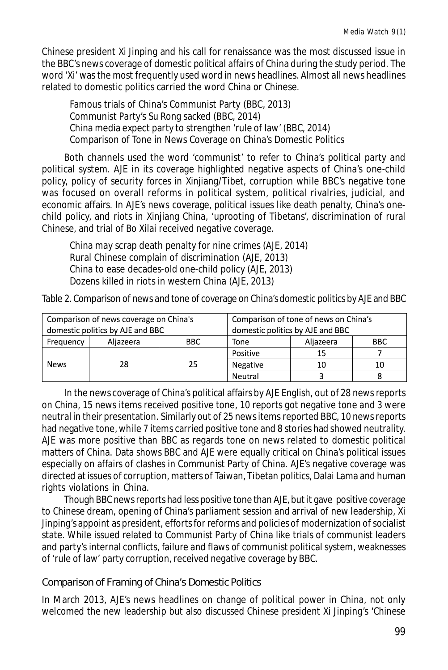Chinese president Xi Jinping and his call for renaissance was the most discussed issue in the BBC's news coverage of domestic political affairs of China during the study period. The word 'Xi' was the most frequently used word in news headlines. Almost all news headlines related to domestic politics carried the word China or Chinese.

Famous trials of China's Communist Party (BBC, 2013) Communist Party's Su Rong sacked (BBC, 2014) China media expect party to strengthen 'rule of law' (BBC, 2014) Comparison of Tone in News Coverage on China's Domestic Politics

Both channels used the word 'communist' to refer to China's political party and political system. AJE in its coverage highlighted negative aspects of China's one-child policy, policy of security forces in Xinjiang/Tibet, corruption while BBC's negative tone was focused on overall reforms in political system, political rivalries, judicial, and economic affairs. In AJE's news coverage, political issues like death penalty, China's onechild policy, and riots in Xinjiang China, 'uprooting of Tibetans', discrimination of rural Chinese, and trial of Bo Xilai received negative coverage.

China may scrap death penalty for nine crimes (AJE, 2014) Rural Chinese complain of discrimination (AJE, 2013) China to ease decades-old one-child policy (AJE, 2013) Dozens killed in riots in western China (AJE, 2013)

Table 2. Comparison of news and tone of coverage on China's domestic politics by AJE and BBC

| Comparison of news coverage on China's |           | Comparison of tone of news on China's |          |           |            |
|----------------------------------------|-----------|---------------------------------------|----------|-----------|------------|
| domestic politics by AJE and BBC       |           | domestic politics by AJE and BBC      |          |           |            |
| Frequency                              | Aliazeera | BBC.                                  | Tone     | Aliazeera | <b>BBC</b> |
| <b>News</b>                            | 28        | 25                                    | Positive | 15        |            |
|                                        |           |                                       | Negative | 10        | 10         |
|                                        |           |                                       | Neutral  |           |            |

In the news coverage of China's political affairs by AJE English, out of 28 news reports on China, 15 news items received positive tone, 10 reports got negative tone and 3 were neutral in their presentation. Similarly out of 25 news items reported BBC, 10 news reports had negative tone, while 7 items carried positive tone and 8 stories had showed neutrality. AJE was more positive than BBC as regards tone on news related to domestic political matters of China. Data shows BBC and AJE were equally critical on China's political issues especially on affairs of clashes in Communist Party of China. AJE's negative coverage was directed at issues of corruption, matters of Taiwan, Tibetan politics, Dalai Lama and human rights violations in China.

Though BBC news reports had less positive tone than AJE, but it gave positive coverage to Chinese dream, opening of China's parliament session and arrival of new leadership, Xi Jinping's appoint as president, efforts for reforms and policies of modernization of socialist state. While issued related to Communist Party of China like trials of communist leaders and party's internal conflicts, failure and flaws of communist political system, weaknesses of 'rule of law' party corruption, received negative coverage by BBC.

Comparison of Framing of China's Domestic Politics

In March 2013, AJE's news headlines on change of political power in China, not only welcomed the new leadership but also discussed Chinese president Xi Jinping's 'Chinese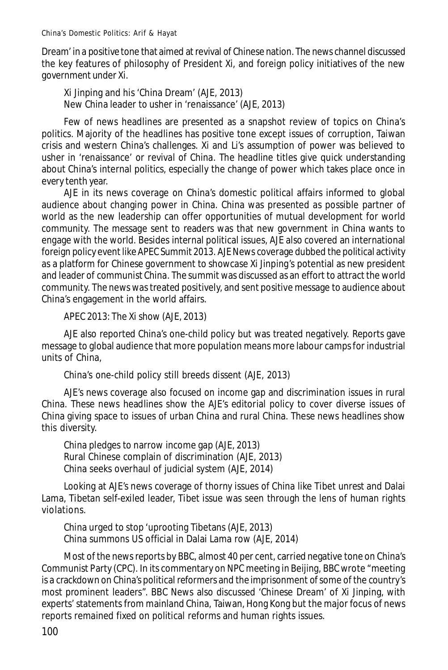Dream' in a positive tone that aimed at revival of Chinese nation. The news channel discussed the key features of philosophy of President Xi, and foreign policy initiatives of the new government under Xi.

Xi Jinping and his 'China Dream' (AJE, 2013) New China leader to usher in 'renaissance' (AJE, 2013)

Few of news headlines are presented as a snapshot review of topics on China's politics. Majority of the headlines has positive tone except issues of corruption, Taiwan crisis and western China's challenges. Xi and Li's assumption of power was believed to usher in 'renaissance' or revival of China. The headline titles give quick understanding about China's internal politics, especially the change of power which takes place once in every tenth year.

AJE in its news coverage on China's domestic political affairs informed to global audience about changing power in China. China was presented as possible partner of world as the new leadership can offer opportunities of mutual development for world community. The message sent to readers was that new government in China wants to engage with the world. Besides internal political issues, AJE also covered an international foreign policy event like APEC Summit 2013. AJE News coverage dubbed the political activity as a platform for Chinese government to showcase Xi Jinping's potential as new president and leader of communist China. The summit was discussed as an effort to attract the world community. The news was treated positively, and sent positive message to audience about China's engagement in the world affairs.

APEC 2013: The Xi show (AJE, 2013)

AJE also reported China's one-child policy but was treated negatively. Reports gave message to global audience that more population means more labour camps for industrial units of China,

China's one-child policy still breeds dissent (AJE, 2013)

AJE's news coverage also focused on income gap and discrimination issues in rural China. These news headlines show the AJE's editorial policy to cover diverse issues of China giving space to issues of urban China and rural China. These news headlines show this diversity.

China pledges to narrow income gap (AJE, 2013) Rural Chinese complain of discrimination (AJE, 2013) China seeks overhaul of judicial system (AJE, 2014)

Looking at AJE's news coverage of thorny issues of China like Tibet unrest and Dalai Lama, Tibetan self-exiled leader, Tibet issue was seen through the lens of human rights violations.

China urged to stop 'uprooting Tibetans (AJE, 2013) China summons US official in Dalai Lama row (AJE, 2014)

Most of the news reports by BBC, almost 40 per cent, carried negative tone on China's Communist Party (CPC). In its commentary on NPC meeting in Beijing, BBC wrote "meeting is a crackdown on China's political reformers and the imprisonment of some of the country's most prominent leaders". BBC News also discussed 'Chinese Dream' of Xi Jinping, with experts' statements from mainland China, Taiwan, Hong Kong but the major focus of news reports remained fixed on political reforms and human rights issues.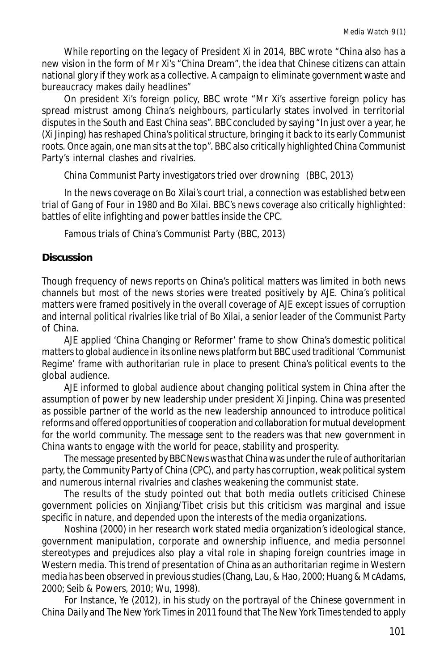While reporting on the legacy of President Xi in 2014, BBC wrote "China also has a new vision in the form of Mr Xi's "China Dream", the idea that Chinese citizens can attain national glory if they work as a collective. A campaign to eliminate government waste and bureaucracy makes daily headlines"

On president Xi's foreign policy, BBC wrote "Mr Xi's assertive foreign policy has spread mistrust among China's neighbours, particularly states involved in territorial disputes in the South and East China seas". BBC concluded by saying "In just over a year, he (Xi Jinping) has reshaped China's political structure, bringing it back to its early Communist roots. Once again, one man sits at the top". BBC also critically highlighted China Communist Party's internal clashes and rivalries.

China Communist Party investigators tried over drowning (BBC, 2013)

In the news coverage on Bo Xilai's court trial, a connection was established between trial of Gang of Four in 1980 and Bo Xilai. BBC's news coverage also critically highlighted: battles of elite infighting and power battles inside the CPC.

Famous trials of China's Communist Party (BBC, 2013)

## **Discussion**

Though frequency of news reports on China's political matters was limited in both news channels but most of the news stories were treated positively by AJE. China's political matters were framed positively in the overall coverage of AJE except issues of corruption and internal political rivalries like trial of Bo Xilai, a senior leader of the Communist Party of China.

AJE applied 'China Changing or Reformer' frame to show China's domestic political matters to global audience in its online news platform but BBC used traditional 'Communist Regime' frame with authoritarian rule in place to present China's political events to the global audience.

AJE informed to global audience about changing political system in China after the assumption of power by new leadership under president Xi Jinping. China was presented as possible partner of the world as the new leadership announced to introduce political reforms and offered opportunities of cooperation and collaboration for mutual development for the world community. The message sent to the readers was that new government in China wants to engage with the world for peace, stability and prosperity.

The message presented by BBC News was that China was under the rule of authoritarian party, the Community Party of China (CPC), and party has corruption, weak political system and numerous internal rivalries and clashes weakening the communist state.

The results of the study pointed out that both media outlets criticised Chinese government policies on Xinjiang/Tibet crisis but this criticism was marginal and issue specific in nature, and depended upon the interests of the media organizations.

Noshina (2000) in her research work stated media organization's ideological stance, government manipulation, corporate and ownership influence, and media personnel stereotypes and prejudices also play a vital role in shaping foreign countries image in Western media. This trend of presentation of China as an authoritarian regime in Western media has been observed in previous studies (Chang, Lau, & Hao, 2000; Huang & McAdams, 2000; Seib & Powers, 2010; Wu, 1998).

For Instance, Ye (2012), in his study on the portrayal of the Chinese government in *China Daily* and *The New York Times* in 2011 found that *The New York Times* tended to apply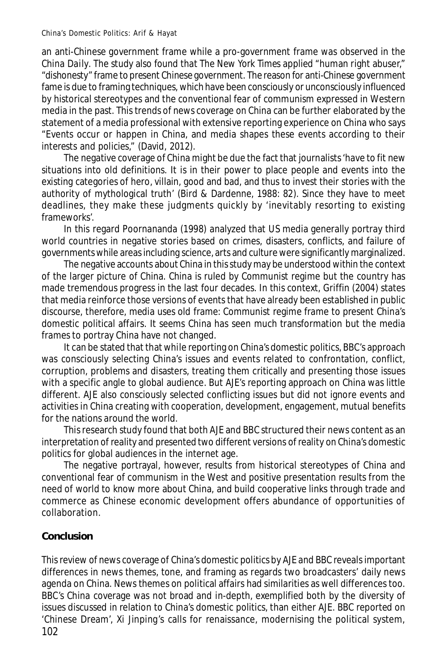an anti-Chinese government frame while a pro-government frame was observed in the *China Daily*. The study also found that *The New York Times* applied "human right abuser," "dishonesty" frame to present Chinese government. The reason for anti-Chinese government fame is due to framing techniques, which have been consciously or unconsciously influenced by historical stereotypes and the conventional fear of communism expressed in Western media in the past. This trends of news coverage on China can be further elaborated by the statement of a media professional with extensive reporting experience on China who says "Events occur or happen in China, and media shapes these events according to their interests and policies," (David, 2012).

The negative coverage of China might be due the fact that journalists 'have to fit new situations into old definitions. It is in their power to place people and events into the existing categories of hero, villain, good and bad, and thus to invest their stories with the authority of mythological truth' (Bird & Dardenne, 1988: 82). Since they have to meet deadlines, they make these judgments quickly by 'inevitably resorting to existing frameworks'.

In this regard Poornananda (1998) analyzed that US media generally portray third world countries in negative stories based on crimes, disasters, conflicts, and failure of governments while areas including science, arts and culture were significantly marginalized.

The negative accounts about China in this study may be understood within the context of the larger picture of China. China is ruled by Communist regime but the country has made tremendous progress in the last four decades. In this context, Griffin (2004) states that media reinforce those versions of events that have already been established in public discourse, therefore, media uses old frame: Communist regime frame to present China's domestic political affairs. It seems China has seen much transformation but the media frames to portray China have not changed.

It can be stated that that while reporting on China's domestic politics, BBC's approach was consciously selecting China's issues and events related to confrontation, conflict, corruption, problems and disasters, treating them critically and presenting those issues with a specific angle to global audience. But AJE's reporting approach on China was little different. AJE also consciously selected conflicting issues but did not ignore events and activities in China creating with cooperation, development, engagement, mutual benefits for the nations around the world.

This research study found that both AJE and BBC structured their news content as an interpretation of reality and presented two different versions of reality on China's domestic politics for global audiences in the internet age.

The negative portrayal, however, results from historical stereotypes of China and conventional fear of communism in the West and positive presentation results from the need of world to know more about China, and build cooperative links through trade and commerce as Chinese economic development offers abundance of opportunities of collaboration.

## **Conclusion**

102 This review of news coverage of China's domestic politics by AJE and BBC reveals important differences in news themes, tone, and framing as regards two broadcasters' daily news agenda on China. News themes on political affairs had similarities as well differences too. BBC's China coverage was not broad and in-depth, exemplified both by the diversity of issues discussed in relation to China's domestic politics, than either AJE. BBC reported on 'Chinese Dream', Xi Jinping's calls for renaissance, modernising the political system,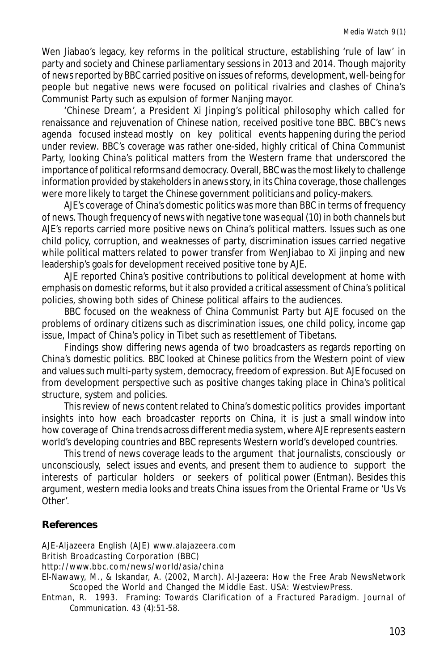Wen Jiabao's legacy, key reforms in the political structure, establishing 'rule of law' in party and society and Chinese parliamentary sessions in 2013 and 2014. Though majority of news reported by BBC carried positive on issues of reforms, development, well-being for people but negative news were focused on political rivalries and clashes of China's Communist Party such as expulsion of former Nanjing mayor.

'Chinese Dream', a President Xi Jinping's political philosophy which called for renaissance and rejuvenation of Chinese nation, received positive tone BBC. BBC's news agenda focused instead mostly on key political events happening during the period under review. BBC's coverage was rather one-sided, highly critical of China Communist Party, looking China's political matters from the Western frame that underscored the importance of political reforms and democracy. Overall, BBC was the most likely to challenge information provided by stakeholders in anews story, in its China coverage, those challenges were more likely to target the Chinese government politicians and policy-makers.

AJE's coverage of China's domestic politics was more than BBC in terms of frequency of news. Though frequency of news with negative tone was equal (10) in both channels but AJE's reports carried more positive news on China's political matters. Issues such as one child policy, corruption, and weaknesses of party, discrimination issues carried negative while political matters related to power transfer from WenJiabao to Xi jinping and new leadership's goals for development received positive tone by AJE.

AJE reported China's positive contributions to political development at home with emphasis on domestic reforms, but it also provided a critical assessment of China's political policies, showing both sides of Chinese political affairs to the audiences.

BBC focused on the weakness of China Communist Party but AJE focused on the problems of ordinary citizens such as discrimination issues, one child policy, income gap issue, Impact of China's policy in Tibet such as resettlement of Tibetans.

Findings show differing news agenda of two broadcasters as regards reporting on China's domestic politics. BBC looked at Chinese politics from the Western point of view and values such multi-party system, democracy, freedom of expression. But AJE focused on from development perspective such as positive changes taking place in China's political structure, system and policies.

This review of news content related to China's domestic politics provides important insights into how each broadcaster reports on China, it is just a small window into how coverage of China trends across different media system, where AJE represents eastern world's developing countries and BBC represents Western world's developed countries.

This trend of news coverage leads to the argument that journalists, consciously or unconsciously, select issues and events, and present them to audience to support the interests of particular holders or seekers of political power (Entman). Besides this argument, western media looks and treats China issues from the Oriental Frame or 'Us Vs Other'.

## **References**

AJE-Aljazeera English (AJE) www.alajazeera.com

British Broadcasting Corporation (BBC)

http://www.bbc.com/news/world/asia/china

El-Nawawy, M., & Iskandar, A. (2002, March). Al-Jazeera: How the Free Arab NewsNetwork Scooped the World and Changed the Middle East. USA: *WestviewPress.*

Entman, R. 1993. Framing: Towards Clarification of a Fractured Paradigm. *Journal of Communication*. 43 (4):51-58.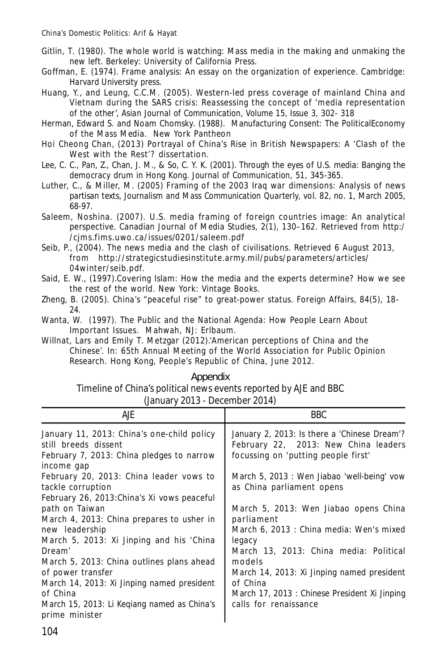- Gitlin, T. (1980). The whole world is watching: Mass media in the making and unmaking the new left. Berkeley: *University of California Press*.
- Goffman, E. (1974). Frame analysis: An essay on the organization of experience. Cambridge: *Harvard University press*.
- Huang, Y., and Leung, C.C.M. (2005). Western-led press coverage of mainland China and Vietnam during the SARS crisis: Reassessing the concept of 'media representation of the other', *Asian Journal of Communication, Volume 15, Issue 3,* 302- 318
- Herman, Edward S. and Noam Chomsky. (1988). Manufacturing Consent: The PoliticalEconomy of the Mass Media. New York Pantheon
- Hoi Cheong Chan, (2013) Portrayal of China's Rise in British Newspapers: A 'Clash of the West with the Rest'? dissertation.
- Lee, C. C., Pan, Z., Chan, J. M., & So, C. Y. K. (2001). Through the eyes of U.S. media: Banging the democracy drum in Hong Kong. *Journal of Communication, 51*, 345-365.
- Luther, C., & Miller, M. (2005) Framing of the 2003 Iraq war dimensions: Analysis of news partisan texts, *Journalism and Mass Communication Quarterly,* vol. 82, no. 1, March 2005, 68-97.
- Saleem, Noshina. (2007). U.S. media framing of foreign countries image: An analytical perspective. Canadian Journal of Media Studies, 2(1), 130–162. Retrieved from http:/ /cjms.fims.uwo.ca/issues/0201/saleem.pdf
- Seib, P., (2004). The news media and the clash of civilisations. Retrieved 6 August 2013, from http://strategicstudiesinstitute.army.mil/pubs/parameters/articles/ 04winter/seib.pdf.
- Said, E. W., (1997).Covering Islam: How the media and the experts determine? How we see the rest of the world. New York: Vintage Books.
- Zheng, B. (2005). China's "peaceful rise" to great-power status. Foreign Affairs, 84(5), 18- 24.
- Wanta, W. (1997). The Public and the National Agenda: How People Learn About Important Issues. Mahwah, NJ: Erlbaum.
- Willnat, Lars and Emily T. Metzgar (2012).'American perceptions of China and the Chinese'. In: 65th Annual Meeting of the World Association for Public Opinion Research. Hong Kong, People's Republic of China, June 2012.

#### Appendix

Timeline of China's political news events reported by AJE and BBC (January 2013 - December 2014)

| AJE.                                                                                                                      | BBC.                                                                                                                        |  |  |
|---------------------------------------------------------------------------------------------------------------------------|-----------------------------------------------------------------------------------------------------------------------------|--|--|
| January 11, 2013: China's one-child policy<br>still breeds dissent<br>February 7, 2013: China pledges to narrow           | January 2, 2013: Is there a 'Chinese Dream'?<br>February 22, 2013: New China leaders<br>focussing on 'putting people first' |  |  |
| income gap<br>February 20, 2013: China leader vows to<br>tackle corruption<br>February 26, 2013: China's Xi vows peaceful | March 5, 2013: Wen Jiabao 'well-being' vow<br>as China parliament opens                                                     |  |  |
| path on Taiwan<br>March 4, 2013: China prepares to usher in<br>new leadership<br>March 5, 2013: Xi Jinping and his 'China | March 5, 2013: Wen Jiabao opens China<br>parliament<br>March 6, 2013 : China media: Wen's mixed<br>legacy                   |  |  |
| Dream'<br>March 5, 2013: China outlines plans ahead<br>of power transfer<br>March 14, 2013: Xi Jinping named president    | March 13, 2013: China media: Political<br>models<br>March 14, 2013: Xi Jinping named president<br>of China                  |  |  |
| of China<br>March 15, 2013: Li Kegiang named as China's<br>prime minister                                                 | March 17, 2013 : Chinese President Xi Jinping<br>calls for renaissance                                                      |  |  |